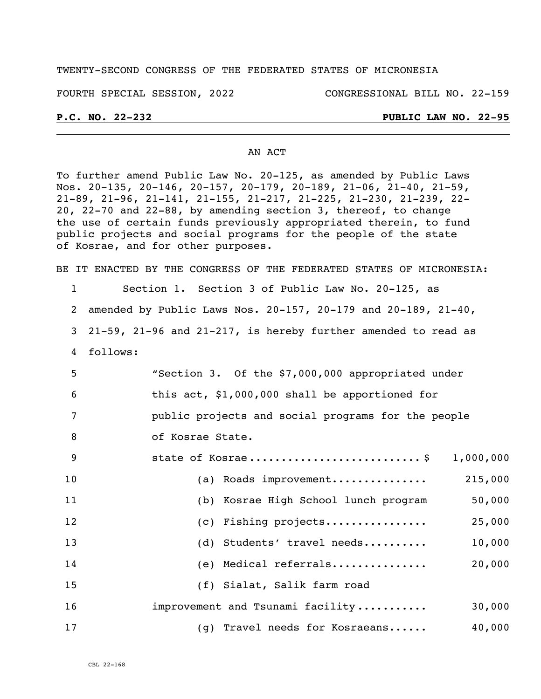## TWENTY-SECOND CONGRESS OF THE FEDERATED STATES OF MICRONESIA

FOURTH SPECIAL SESSION, 2022 CONGRESSIONAL BILL NO. 22-159

## **P.C. NO. 22-232 PUBLIC LAW NO. 22-95**

### AN ACT

To further amend Public Law No. 20-125, as amended by Public Laws Nos. 20-135, 20-146, 20-157, 20-179, 20-189, 21-06, 21-40, 21-59, 21-89, 21-96, 21-141, 21-155, 21-217, 21-225, 21-230, 21-239, 22- 20, 22-70 and 22-88, by amending section 3, thereof, to change the use of certain funds previously appropriated therein, to fund public projects and social programs for the people of the state of Kosrae, and for other purposes.

BE IT ENACTED BY THE CONGRESS OF THE FEDERATED STATES OF MICRONESIA:

1 Section 1. Section 3 of Public Law No. 20-125, as

2 amended by Public Laws Nos. 20-157, 20-179 and 20-189, 21-40,

3 21-59, 21-96 and 21-217, is hereby further amended to read as

4 follows:

5 "Section 3. Of the \$7,000,000 appropriated under 6 this act, \$1,000,000 shall be apportioned for 7 public projects and social programs for the people

8 of Kosrae State.

| - 9 |                                      | 1,000,000 |
|-----|--------------------------------------|-----------|
| 10  | Roads improvement<br>(a)             | 215,000   |
| 11  | (b) Kosrae High School lunch program | 50,000    |
| 12  | (c) Fishing projects                 | 25,000    |
| 13  | (d) Students' travel needs           | 10,000    |
| 14  | (e) Medical referrals                | 20,000    |
| 15  | (f) Sialat, Salik farm road          |           |
| 16  | improvement and Tsunami facility     | 30,000    |
| 17  | (g) Travel needs for Kosraeans       | 40,000    |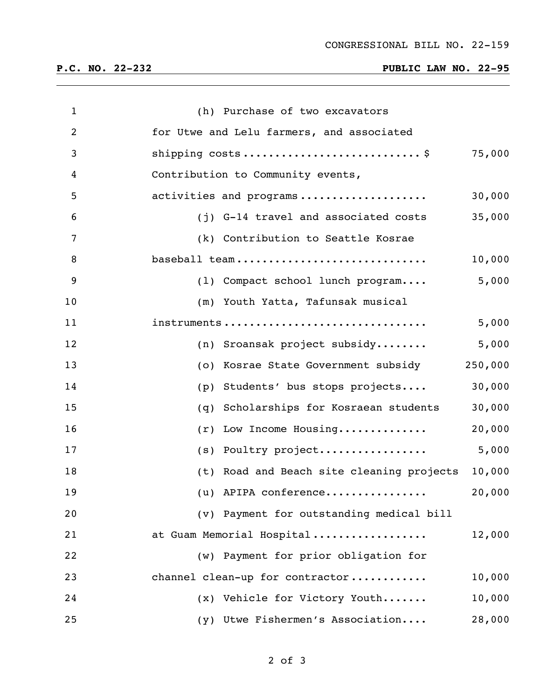# **P.C. NO. 22-232 PUBLIC LAW NO. 22-95**

| $\mathbf{1}$ | (h) Purchase of two excavators                      |
|--------------|-----------------------------------------------------|
| 2            | for Utwe and Lelu farmers, and associated           |
| 3            | 75,000                                              |
| 4            | Contribution to Community events,                   |
| 5            | activities and programs<br>30,000                   |
| 6            | 35,000<br>(j) G-14 travel and associated costs      |
| 7            | (k) Contribution to Seattle Kosrae                  |
| 8            | 10,000<br>baseball team                             |
| 9            | 5,000<br>(1) Compact school lunch program           |
| 10           | (m) Youth Yatta, Tafunsak musical                   |
| 11           | 5,000<br>instruments                                |
| 12           | 5,000<br>(n) Sroansak project subsidy               |
| 13           | 250,000<br>(o) Kosrae State Government subsidy      |
| 14           | 30,000<br>Students' bus stops projects<br>(p)       |
| 15           | 30,000<br>Scholarships for Kosraean students<br>(q) |
| 16           | 20,000<br>Low Income Housing<br>(r)                 |
| 17           | 5,000<br>(s) Poultry project                        |
| 18           | 10,000<br>(t) Road and Beach site cleaning projects |
| 19           | 20,000<br>(u) APIPA conference                      |
| 20           | (v) Payment for outstanding medical bill            |
| 21           | at Guam Memorial Hospital<br>12,000                 |
| 22           | (w) Payment for prior obligation for                |
| 23           | channel clean-up for contractor<br>10,000           |
| 24           | 10,000<br>(x) Vehicle for Victory Youth             |
| 25           | 28,000<br>(y) Utwe Fishermen's Association          |